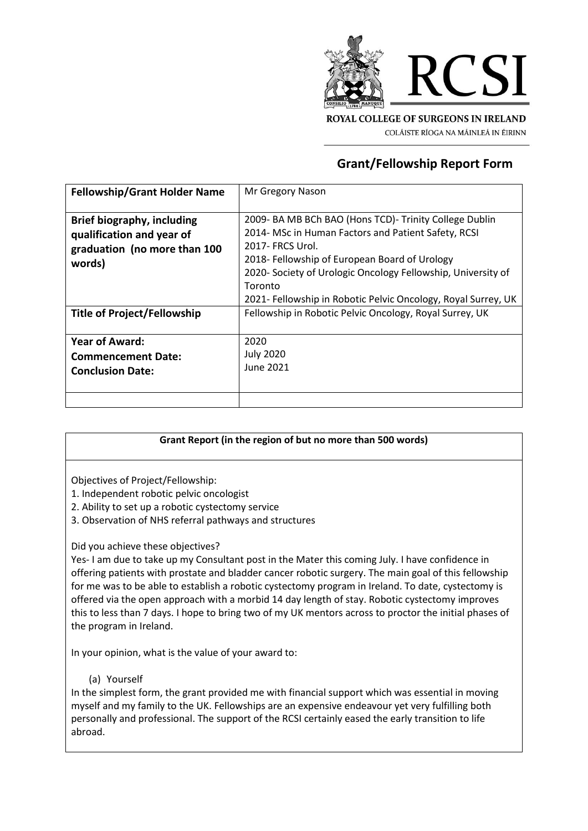

COLÁISTE RÍOGA NA MÁINLEÁ IN ÉIRINN

## **Grant/Fellowship Report Form**

| <b>Fellowship/Grant Holder Name</b> | Mr Gregory Nason                                              |
|-------------------------------------|---------------------------------------------------------------|
|                                     |                                                               |
| <b>Brief biography, including</b>   | 2009- BA MB BCh BAO (Hons TCD)- Trinity College Dublin        |
| qualification and year of           | 2014- MSc in Human Factors and Patient Safety, RCSI           |
| graduation (no more than 100        | 2017- FRCS Urol.                                              |
| words)                              | 2018- Fellowship of European Board of Urology                 |
|                                     | 2020- Society of Urologic Oncology Fellowship, University of  |
|                                     | Toronto                                                       |
|                                     | 2021- Fellowship in Robotic Pelvic Oncology, Royal Surrey, UK |
| Title of Project/Fellowship         | Fellowship in Robotic Pelvic Oncology, Royal Surrey, UK       |
|                                     |                                                               |
| <b>Year of Award:</b>               | 2020                                                          |
| <b>Commencement Date:</b>           | <b>July 2020</b>                                              |
| <b>Conclusion Date:</b>             | June 2021                                                     |
|                                     |                                                               |
|                                     |                                                               |
|                                     |                                                               |

## **Grant Report (in the region of but no more than 500 words)**

Objectives of Project/Fellowship:

- 1. Independent robotic pelvic oncologist
- 2. Ability to set up a robotic cystectomy service
- 3. Observation of NHS referral pathways and structures

Did you achieve these objectives?

Yes- I am due to take up my Consultant post in the Mater this coming July. I have confidence in offering patients with prostate and bladder cancer robotic surgery. The main goal of this fellowship for me was to be able to establish a robotic cystectomy program in Ireland. To date, cystectomy is offered via the open approach with a morbid 14 day length of stay. Robotic cystectomy improves this to less than 7 days. I hope to bring two of my UK mentors across to proctor the initial phases of the program in Ireland.

In your opinion, what is the value of your award to:

## (a) Yourself

In the simplest form, the grant provided me with financial support which was essential in moving myself and my family to the UK. Fellowships are an expensive endeavour yet very fulfilling both personally and professional. The support of the RCSI certainly eased the early transition to life abroad.